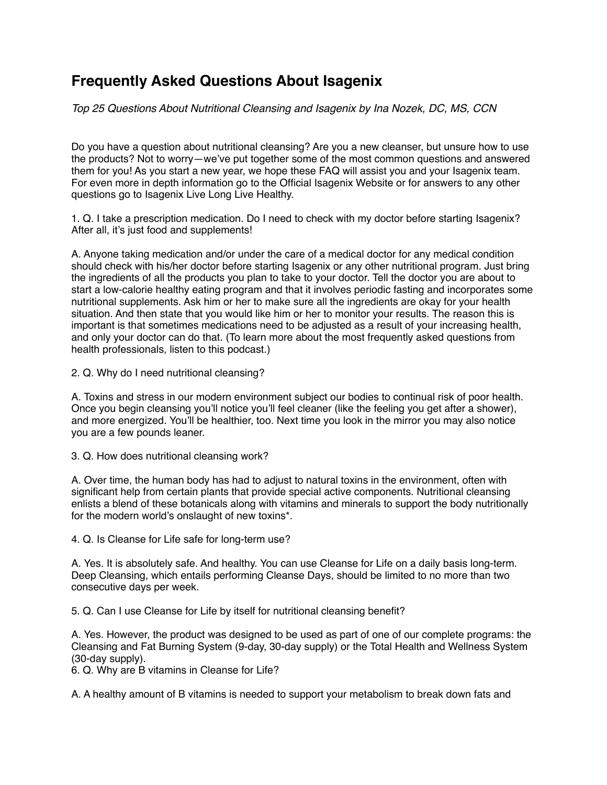## **Frequently Asked Questions About Isagenix**

*Top 25 Questions About Nutritional Cleansing and Isagenix by Ina Nozek, DC, MS, CCN*

Do you have a question about nutritional cleansing? Are you a new cleanser, but unsure how to use the products? Not to worry—we've put together some of the most common questions and answered them for you! As you start a new year, we hope these FAQ will assist you and your Isagenix team. For even more in depth information go to the Official Isagenix Website or for answers to any other questions go to Isagenix Live Long Live Healthy.

1. Q. I take a prescription medication. Do I need to check with my doctor before starting Isagenix? After all, it's just food and supplements!

A. Anyone taking medication and/or under the care of a medical doctor for any medical condition should check with his/her doctor before starting Isagenix or any other nutritional program. Just bring the ingredients of all the products you plan to take to your doctor. Tell the doctor you are about to start a low-calorie healthy eating program and that it involves periodic fasting and incorporates some nutritional supplements. Ask him or her to make sure all the ingredients are okay for your health situation. And then state that you would like him or her to monitor your results. The reason this is important is that sometimes medications need to be adjusted as a result of your increasing health, and only your doctor can do that. (To learn more about the most frequently asked questions from health professionals, listen to this podcast.)

2. Q. Why do I need nutritional cleansing?

A. Toxins and stress in our modern environment subject our bodies to continual risk of poor health. Once you begin cleansing you'll notice you'll feel cleaner (like the feeling you get after a shower), and more energized. You'll be healthier, too. Next time you look in the mirror you may also notice you are a few pounds leaner.

3. Q. How does nutritional cleansing work?

A. Over time, the human body has had to adjust to natural toxins in the environment, often with significant help from certain plants that provide special active components. Nutritional cleansing enlists a blend of these botanicals along with vitamins and minerals to support the body nutritionally for the modern world's onslaught of new toxins\*.

4. Q. Is Cleanse for Life safe for long-term use?

A. Yes. It is absolutely safe. And healthy. You can use Cleanse for Life on a daily basis long-term. Deep Cleansing, which entails performing Cleanse Days, should be limited to no more than two consecutive days per week.

5. Q. Can I use Cleanse for Life by itself for nutritional cleansing benefit?

A. Yes. However, the product was designed to be used as part of one of our complete programs: the Cleansing and Fat Burning System (9-day, 30-day supply) or the Total Health and Wellness System (30-day supply).

6. Q. Why are B vitamins in Cleanse for Life?

A. A healthy amount of B vitamins is needed to support your metabolism to break down fats and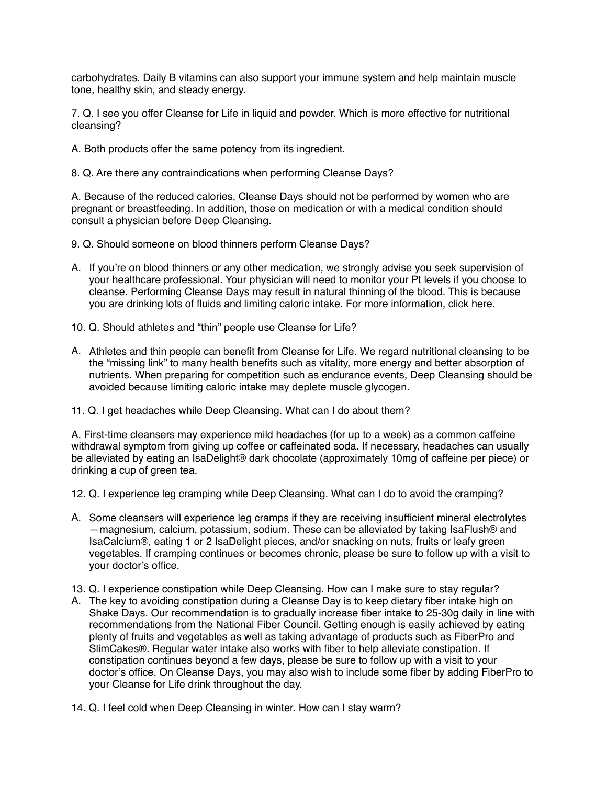carbohydrates. Daily B vitamins can also support your immune system and help maintain muscle tone, healthy skin, and steady energy.

7. Q. I see you offer Cleanse for Life in liquid and powder. Which is more effective for nutritional cleansing?

- A. Both products offer the same potency from its ingredient.
- 8. Q. Are there any contraindications when performing Cleanse Days?

A. Because of the reduced calories, Cleanse Days should not be performed by women who are pregnant or breastfeeding. In addition, those on medication or with a medical condition should consult a physician before Deep Cleansing.

- 9. Q. Should someone on blood thinners perform Cleanse Days?
- A. If you're on blood thinners or any other medication, we strongly advise you seek supervision of your healthcare professional. Your physician will need to monitor your Pt levels if you choose to cleanse. Performing Cleanse Days may result in natural thinning of the blood. This is because you are drinking lots of fluids and limiting caloric intake. For more information, click here.
- 10. Q. Should athletes and "thin" people use Cleanse for Life?
- A. Athletes and thin people can benefit from Cleanse for Life. We regard nutritional cleansing to be the "missing link" to many health benefits such as vitality, more energy and better absorption of nutrients. When preparing for competition such as endurance events, Deep Cleansing should be avoided because limiting caloric intake may deplete muscle glycogen.
- 11. Q. I get headaches while Deep Cleansing. What can I do about them?

A. First-time cleansers may experience mild headaches (for up to a week) as a common caffeine withdrawal symptom from giving up coffee or caffeinated soda. If necessary, headaches can usually be alleviated by eating an IsaDelight® dark chocolate (approximately 10mg of caffeine per piece) or drinking a cup of green tea.

- 12. Q. I experience leg cramping while Deep Cleansing. What can I do to avoid the cramping?
- A. Some cleansers will experience leg cramps if they are receiving insufficient mineral electrolytes —magnesium, calcium, potassium, sodium. These can be alleviated by taking IsaFlush® and IsaCalcium®, eating 1 or 2 IsaDelight pieces, and/or snacking on nuts, fruits or leafy green vegetables. If cramping continues or becomes chronic, please be sure to follow up with a visit to your doctor's office.
- 13. Q. I experience constipation while Deep Cleansing. How can I make sure to stay regular?
- A. The key to avoiding constipation during a Cleanse Day is to keep dietary fiber intake high on Shake Days. Our recommendation is to gradually increase fiber intake to 25-30g daily in line with recommendations from the National Fiber Council. Getting enough is easily achieved by eating plenty of fruits and vegetables as well as taking advantage of products such as FiberPro and SlimCakes®. Regular water intake also works with fiber to help alleviate constipation. If constipation continues beyond a few days, please be sure to follow up with a visit to your doctor's office. On Cleanse Days, you may also wish to include some fiber by adding FiberPro to your Cleanse for Life drink throughout the day.
- 14. Q. I feel cold when Deep Cleansing in winter. How can I stay warm?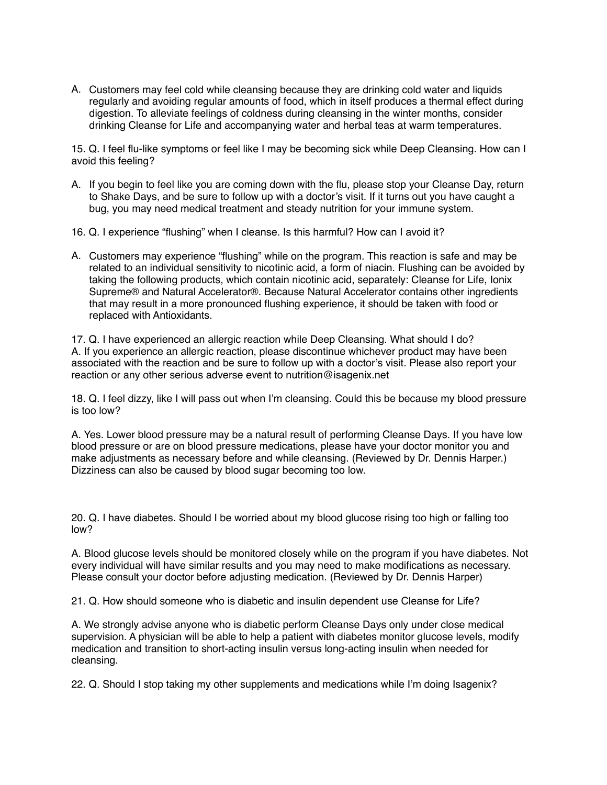A. Customers may feel cold while cleansing because they are drinking cold water and liquids regularly and avoiding regular amounts of food, which in itself produces a thermal effect during digestion. To alleviate feelings of coldness during cleansing in the winter months, consider drinking Cleanse for Life and accompanying water and herbal teas at warm temperatures.

15. Q. I feel flu-like symptoms or feel like I may be becoming sick while Deep Cleansing. How can I avoid this feeling?

- A. If you begin to feel like you are coming down with the flu, please stop your Cleanse Day, return to Shake Days, and be sure to follow up with a doctor's visit. If it turns out you have caught a bug, you may need medical treatment and steady nutrition for your immune system.
- 16. Q. I experience "flushing" when I cleanse. Is this harmful? How can I avoid it?
- A. Customers may experience "flushing" while on the program. This reaction is safe and may be related to an individual sensitivity to nicotinic acid, a form of niacin. Flushing can be avoided by taking the following products, which contain nicotinic acid, separately: Cleanse for Life, Ionix Supreme® and Natural Accelerator®. Because Natural Accelerator contains other ingredients that may result in a more pronounced flushing experience, it should be taken with food or replaced with Antioxidants.

17. Q. I have experienced an allergic reaction while Deep Cleansing. What should I do? A. If you experience an allergic reaction, please discontinue whichever product may have been associated with the reaction and be sure to follow up with a doctor's visit. Please also report your reaction or any other serious adverse event to nutrition@isagenix.net

18. Q. I feel dizzy, like I will pass out when I'm cleansing. Could this be because my blood pressure is too low?

A. Yes. Lower blood pressure may be a natural result of performing Cleanse Days. If you have low blood pressure or are on blood pressure medications, please have your doctor monitor you and make adjustments as necessary before and while cleansing. (Reviewed by Dr. Dennis Harper.) Dizziness can also be caused by blood sugar becoming too low.

20. Q. I have diabetes. Should I be worried about my blood glucose rising too high or falling too low?

A. Blood glucose levels should be monitored closely while on the program if you have diabetes. Not every individual will have similar results and you may need to make modifications as necessary. Please consult your doctor before adjusting medication. (Reviewed by Dr. Dennis Harper)

21. Q. How should someone who is diabetic and insulin dependent use Cleanse for Life?

A. We strongly advise anyone who is diabetic perform Cleanse Days only under close medical supervision. A physician will be able to help a patient with diabetes monitor glucose levels, modify medication and transition to short-acting insulin versus long-acting insulin when needed for cleansing.

22. Q. Should I stop taking my other supplements and medications while I'm doing Isagenix?